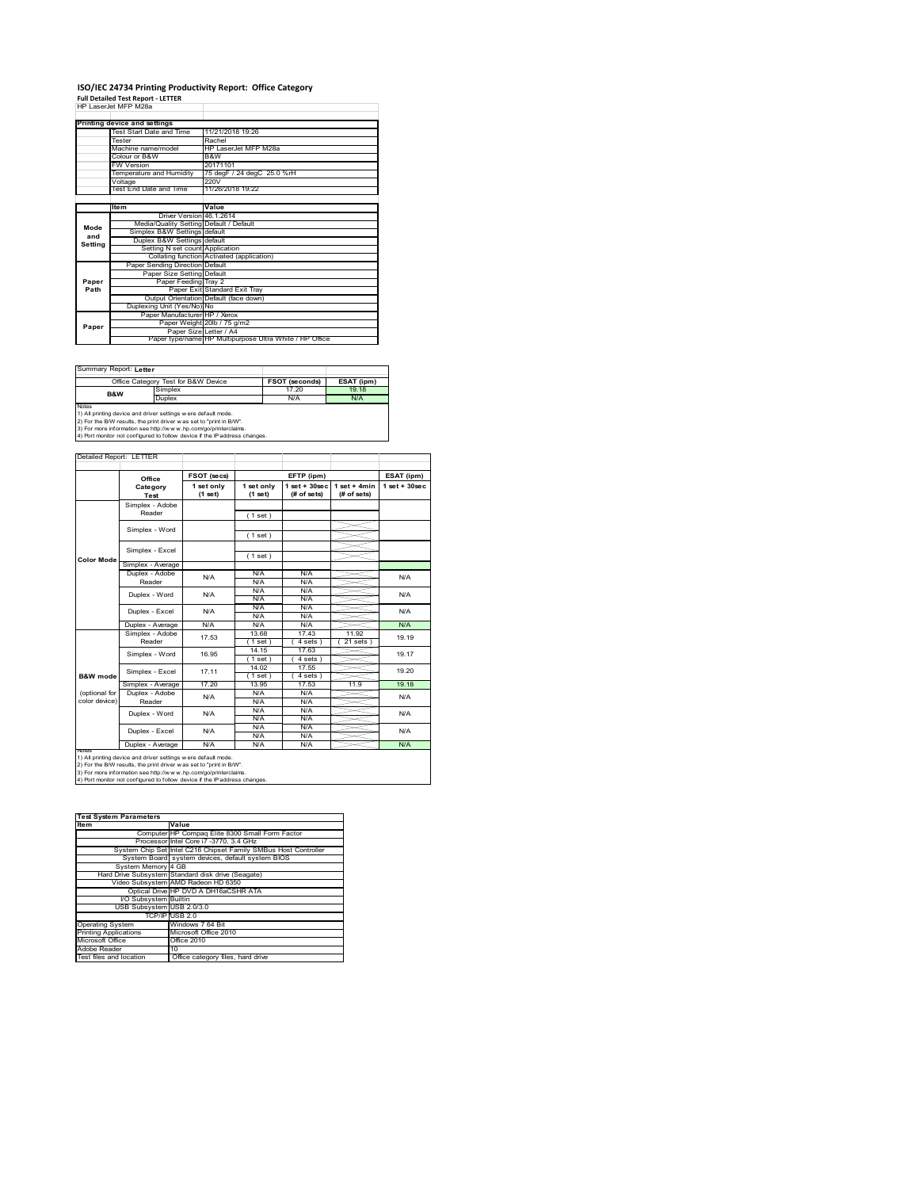# **ISO/IEC 24734 Printing Productivity Report: Office Category Full Detailed Test Report ‐ LETTER** HP LaserJet MFP M28a

|         | HP Laser.let MFP M28a                   |                                                         |
|---------|-----------------------------------------|---------------------------------------------------------|
|         | Printing device and settings            |                                                         |
|         | Test Start Date and Time                | 11/21/2018 19:26                                        |
|         | Tester                                  | Rachel                                                  |
|         | Machine name/model                      | HP LaserJet MFP M28a                                    |
|         | Colour or B&W                           | B&W                                                     |
|         | <b>FW Version</b>                       | 20171101                                                |
|         | Temperature and Humidity                | 75 degF / 24 degC 25.0 %rH                              |
|         | Voltage                                 | 220V                                                    |
|         | Test End Date and Time                  | 11/26/2018 19:22                                        |
|         |                                         |                                                         |
|         | <b>Item</b>                             | Value                                                   |
|         | Driver Version 46.1.2614                |                                                         |
| Mode    | Media/Quality Setting Default / Default |                                                         |
| and     | Simplex B&W Settings default            |                                                         |
| Settina | Duplex B&W Settings default             |                                                         |
|         | Setting N set count Application         |                                                         |
|         |                                         | Collating function Activated (application)              |
|         | Paper Sending Direction Default         |                                                         |
|         | Paper Size Setting Default              |                                                         |
| Paper   | Paper Feeding Tray 2                    |                                                         |
| Path    |                                         | Paper Exit Standard Exit Tray                           |
|         |                                         | Output Orientation Default (face down)                  |
|         | Duplexing Unit (Yes/No) No              |                                                         |
|         | Paper Manufacturer HP / Xerox           |                                                         |
| Paper   |                                         | Paper Weight 20lb / 75 g/m2                             |
|         | Paper Size Letter / A4                  |                                                         |
|         |                                         | Paper type/name HP Multipurpose Ultra White / HP Office |

Summary Report: **Letter**

|                                                                | Office Category Test for B&W Device | <b>FSOT (seconds)</b> | ESAT (ipm) |  |  |  |  |
|----------------------------------------------------------------|-------------------------------------|-----------------------|------------|--|--|--|--|
| <b>B&amp;W</b>                                                 | Simplex                             | 17.20                 | 19 18      |  |  |  |  |
|                                                                | Duplex                              | N/A                   | N/A        |  |  |  |  |
| Notes                                                          |                                     |                       |            |  |  |  |  |
| 1) All printing device and driver settings w ere default mode. |                                     |                       |            |  |  |  |  |
|                                                                |                                     |                       |            |  |  |  |  |

1) All printing device and driver settings were default mode.<br>2) For the B/W results, the print driver was set to "print in B/W".<br>3) For more information see http://www.hp.com/go/printerclaims.<br>4) Port monitor not configur

|                   | Office            | FSOT (secs)             |                       | EFTP (ipm)                       |                               | ESAT (ipm)         |  |
|-------------------|-------------------|-------------------------|-----------------------|----------------------------------|-------------------------------|--------------------|--|
|                   | Category<br>Test  | 1 set only<br>$(1$ set) | 1 set only<br>(1 set) | $1$ set $+30$ sec<br>(# of sets) | $1$ set + 4min<br>(# of sets) | $1$ set + $30$ sec |  |
|                   | Simplex - Adobe   |                         |                       |                                  |                               |                    |  |
|                   | Reader            |                         | (1 set)               |                                  |                               |                    |  |
|                   |                   |                         |                       |                                  |                               |                    |  |
|                   | Simplex - Word    |                         | (1 set)               |                                  |                               |                    |  |
|                   | Simplex - Excel   |                         |                       |                                  |                               |                    |  |
| <b>Color Mode</b> |                   |                         | (1 set)               |                                  |                               |                    |  |
|                   | Simplex - Average |                         |                       |                                  |                               |                    |  |
|                   | Duplex - Adobe    | N/A                     | N/A                   | N/A                              |                               | N/A                |  |
|                   | Reader            |                         | N/A                   | N/A                              |                               |                    |  |
|                   | Duplex - Word     | N/A                     | N/A                   | N/A                              |                               | N/A                |  |
|                   |                   |                         | N/A                   | N/A                              |                               |                    |  |
|                   | Duplex - Excel    | N/A                     | N/A                   | N/A                              |                               | N/A                |  |
|                   |                   |                         | N/A                   | N/A                              |                               |                    |  |
|                   | Duplex - Average  | N/A                     | N/A                   | N/A                              |                               | N/A                |  |
|                   | Simplex - Adobe   | 17.53                   | 13.68                 | 17.43                            | 11.92                         | 19.19              |  |
|                   | Reader            |                         | (1 set)               | 4 sets                           | $21$ sets                     |                    |  |
|                   | Simplex - Word    | 16.95                   | 14.15                 | 17.63                            |                               | 19.17              |  |
|                   |                   |                         | $1$ set)              | $4 sets$ )                       |                               |                    |  |
|                   | Simplex - Excel   | 17 11                   | 14.02                 | 17.55                            |                               | 19.20              |  |
| B&W mode          |                   |                         | $1$ set)              | 4 sets                           |                               |                    |  |
|                   | Simplex - Average | 17.20                   | 13.95                 | 17.53                            | 11.9                          | 19.18              |  |
| (optional for     | Duplex - Adobe    | N/A                     | N/A                   | N/A                              |                               | N/A                |  |
| color device)     | Reader            |                         | N/A                   | N/A                              |                               |                    |  |
|                   | Duplex - Word     | N/A                     | N/A                   | N/A                              |                               | N/A                |  |
|                   |                   |                         | N/A                   | N/A                              |                               |                    |  |
|                   | Duplex - Excel    | N/A                     | N/A                   | N/A                              |                               | N/A                |  |
|                   |                   | N/A                     | N/A                   | N/A<br>N/A                       |                               | N/A                |  |
| <b>NOtes</b>      | Duplex - Average  |                         | N/A                   |                                  |                               |                    |  |

| <b>Test System Parameters</b> |                                                                 |  |  |  |
|-------------------------------|-----------------------------------------------------------------|--|--|--|
| <b>Item</b>                   | Value                                                           |  |  |  |
|                               | Computer HP Compaq Elite 8300 Small Form Factor                 |  |  |  |
|                               | Processor Intel Core i7 -3770, 3.4 GHz                          |  |  |  |
|                               | System Chip Set Intel C216 Chipset Family SMBus Host Controller |  |  |  |
|                               | System Board system devices, default system BIOS                |  |  |  |
| System Memory 4 GB            |                                                                 |  |  |  |
|                               | Hard Drive Subsystem Standard disk drive (Seagate)              |  |  |  |
|                               | Video Subsystem AMD Radeon HD 6350                              |  |  |  |
|                               | Optical Drive HP DVD A DH16aCSHR ATA                            |  |  |  |
| I/O Subsystem Builtin         |                                                                 |  |  |  |
| USB Subsystem USB 2.0/3.0     |                                                                 |  |  |  |
|                               | TCP/IP USB 2.0                                                  |  |  |  |
| <b>Operating System</b>       | Windows 7 64 Bit                                                |  |  |  |
| <b>Printing Applications</b>  | Microsoft Office 2010                                           |  |  |  |
| Microsoft Office              | Office 2010                                                     |  |  |  |
| Adobe Reader                  | 10                                                              |  |  |  |
| Test files and location       | Office category files, hard drive                               |  |  |  |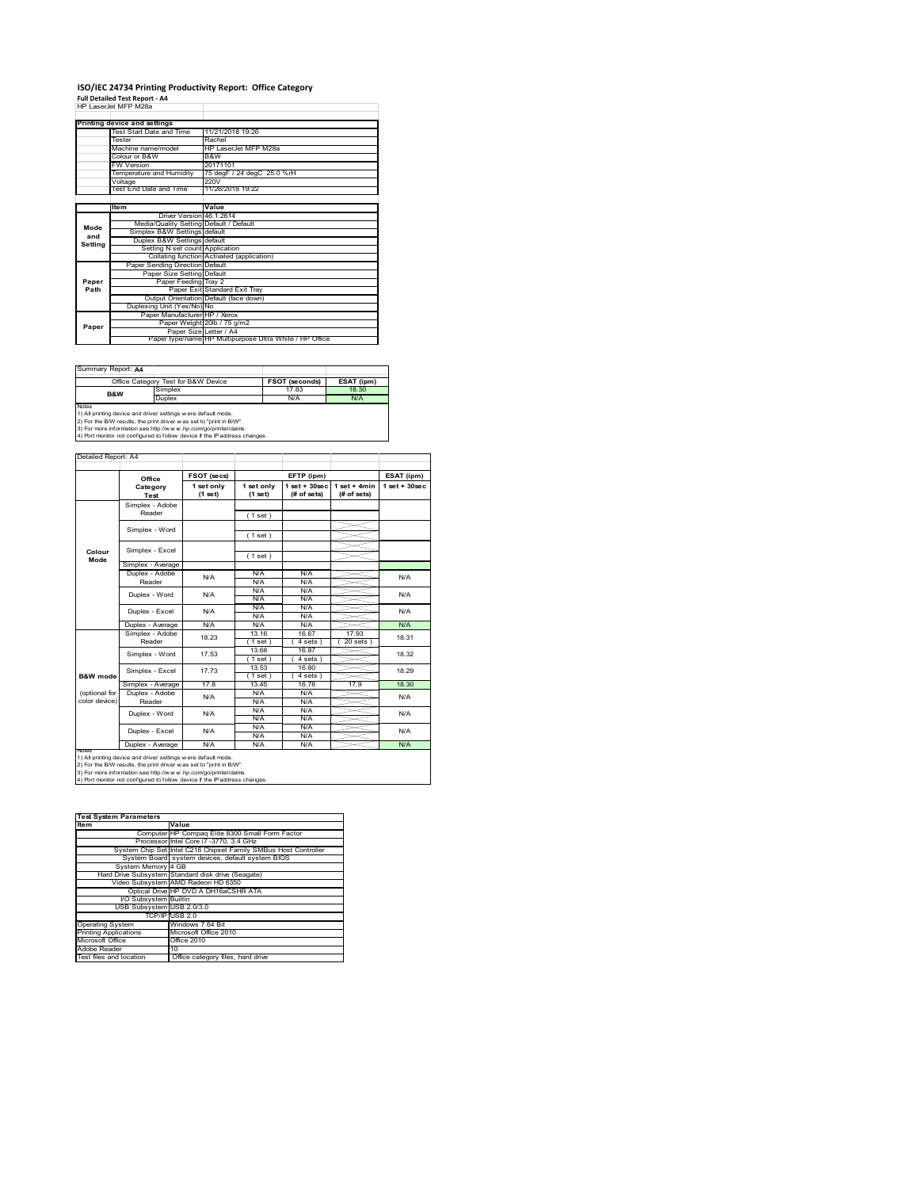#### **ISO/IEC 24734 Printing Productivity Report: Office Category Full Detailed Test Report ‐ A4** HP LaserJet MFP M28a

|         | HP Laserjet MFP M28a                    |                                                         |
|---------|-----------------------------------------|---------------------------------------------------------|
|         | Printing device and settings            |                                                         |
|         | Test Start Date and Time                | 11/21/2018 19:26                                        |
|         | Tester                                  | Rachel                                                  |
|         | Machine name/model                      | HP LaserJet MFP M28a                                    |
|         | Colour or B&W                           | B&W                                                     |
|         | <b>FW Version</b>                       | 20171101                                                |
|         | Temperature and Humidity                | 75 degF / 24 degC 25.0 %rH                              |
|         | Voltage                                 | 220V                                                    |
|         | Test End Date and Time                  | 11/26/2018 19:22                                        |
|         |                                         |                                                         |
|         | ltem                                    | Value                                                   |
|         | Driver Version 46.1.2614                |                                                         |
| Mode    | Media/Quality Setting Default / Default |                                                         |
| and     | Simplex B&W Settings default            |                                                         |
| Setting | Duplex B&W Settings default             |                                                         |
|         | Setting N set count Application         |                                                         |
|         |                                         | Collating function Activated (application)              |
|         | Paper Sending Direction Default         |                                                         |
|         | Paper Size Setting Default              |                                                         |
| Paper   | Paper Feeding Tray 2                    |                                                         |
| Path    |                                         | Paper Exit Standard Exit Tray                           |
|         |                                         | Output Orientation Default (face down)                  |
|         | Duplexing Unit (Yes/No) No              |                                                         |
|         | Paper Manufacturer HP / Xerox           |                                                         |
| Paper   |                                         | Paper Weight 20lb / 75 g/m2                             |
|         | Paper Size Letter / A4                  |                                                         |
|         |                                         | Paper type/name HP Multipurpose Ultra White / HP Office |

Summary Report: **A4**

|       | Office Category Test for B&W Device                            | <b>FSOT (seconds)</b> | ESAT (ipm) |  |  |  |  |
|-------|----------------------------------------------------------------|-----------------------|------------|--|--|--|--|
| B&W   | Simplex                                                        | 17.83                 | 18.30      |  |  |  |  |
|       | Duplex                                                         | N/A                   | N/A        |  |  |  |  |
| Notes |                                                                |                       |            |  |  |  |  |
|       | 1) All printing device and driver settings w ere default mode. |                       |            |  |  |  |  |
|       |                                                                |                       |            |  |  |  |  |

1) All printing device and driver settings were default mode.<br>2) For the B/W results, the print driver was set to "print in B/W".<br>3) For more information see http://www.hp.com/go/printerclaims.<br>4) Port monitor not configur

|                                | Office                    | FSOT (secs)             |                       | EFTP (ipm)                       |                               | ESAT (ipm)        |
|--------------------------------|---------------------------|-------------------------|-----------------------|----------------------------------|-------------------------------|-------------------|
|                                | Category<br>Test          | 1 set only<br>$(1$ set) | 1 set only<br>(1 set) | $1$ set $+30$ sec<br>(# of sets) | $1$ set + 4min<br>(# of sets) | $1$ set $+30$ sec |
|                                | Simplex - Adobe<br>Reader |                         | (1 set)               |                                  |                               |                   |
|                                | Simplex - Word            |                         | (1 set)               |                                  |                               |                   |
| Colour<br>Mode                 | Simplex - Excel           |                         | (1 set)               |                                  |                               |                   |
|                                | Simplex - Average         |                         |                       |                                  |                               |                   |
|                                | Duplex - Adobe<br>Reader  | N/A                     | N/A<br>N/A            | N/A<br>N/A                       |                               | N/A               |
|                                | Duplex - Word             | N/A                     | N/A<br>N/A            | N/A<br>N/A                       |                               | N/A               |
|                                | Duplex - Excel            | N/A                     | N/A<br>N/A            | N/A<br>N/A                       |                               | N/A               |
|                                | Duplex - Average          | N/A                     | N/A                   | N/A                              |                               | N/A               |
|                                | Simplex - Adobe<br>Reader | 18 23                   | 13 16<br>$1$ set)     | 16.67<br>4 sets                  | 17 93<br>$20$ sets            | 18.31             |
|                                | Simplex - Word            | 17.53                   | 13.68<br>$1$ set)     | 16.87<br>4 sets                  |                               | 18.32             |
| <b>B&amp;W</b> mode            | Simplex - Excel           | 17 73                   | 13.53<br>$1$ set)     | 16.80<br>4 sets                  |                               | 18.29             |
|                                | Simplex - Average         | 178                     | 13 45                 | 1678                             | 17.9                          | 18.30             |
| (optional for<br>color device) | Duplex - Adobe<br>Reader  | N/A                     | N/A<br>N/A            | N/A<br>N/A                       |                               | N/A               |
|                                | Duplex - Word             | N/A                     | N/A<br>N/A            | N/A<br>N/A                       |                               | N/A               |
|                                | Duplex - Excel            | N/A                     | N/A<br>N/A            | N/A<br>N/A                       |                               | N/A               |
|                                | Duplex - Average          | N/A                     | N/A                   | N/A                              |                               | N/A               |

1) All printing device and driver settings were default mode.<br>2) For the B/W results, the print driver was set to "print in B/W".<br>3) For more information see http://www.hp.com/go/printerclaims.<br>4) Port monitor not configur

| <b>Test System Parameters</b> |                                                                 |  |  |  |
|-------------------------------|-----------------------------------------------------------------|--|--|--|
| <b>Item</b>                   | Value                                                           |  |  |  |
|                               | Computer HP Compaq Elite 8300 Small Form Factor                 |  |  |  |
|                               | Processor Intel Core i7 -3770, 3.4 GHz                          |  |  |  |
|                               | System Chip Set Intel C216 Chipset Family SMBus Host Controller |  |  |  |
|                               | System Board system devices, default system BIOS                |  |  |  |
| System Memory 4 GB            |                                                                 |  |  |  |
|                               | Hard Drive Subsystem Standard disk drive (Seagate)              |  |  |  |
|                               | Video Subsystem AMD Radeon HD 6350                              |  |  |  |
|                               | Optical Drive HP DVD A DH16aCSHR ATA                            |  |  |  |
| <b>VO Subsystem Builtin</b>   |                                                                 |  |  |  |
| USB Subsystem USB 2.0/3.0     |                                                                 |  |  |  |
|                               | TCP/IP USB 2.0                                                  |  |  |  |
| <b>Operating System</b>       | Windows 7 64 Bit                                                |  |  |  |
| <b>Printing Applications</b>  | Microsoft Office 2010                                           |  |  |  |
| Microsoft Office              | Office 2010                                                     |  |  |  |
| Adobe Reader                  | 10                                                              |  |  |  |
| Test files and location       | Office category files, hard drive                               |  |  |  |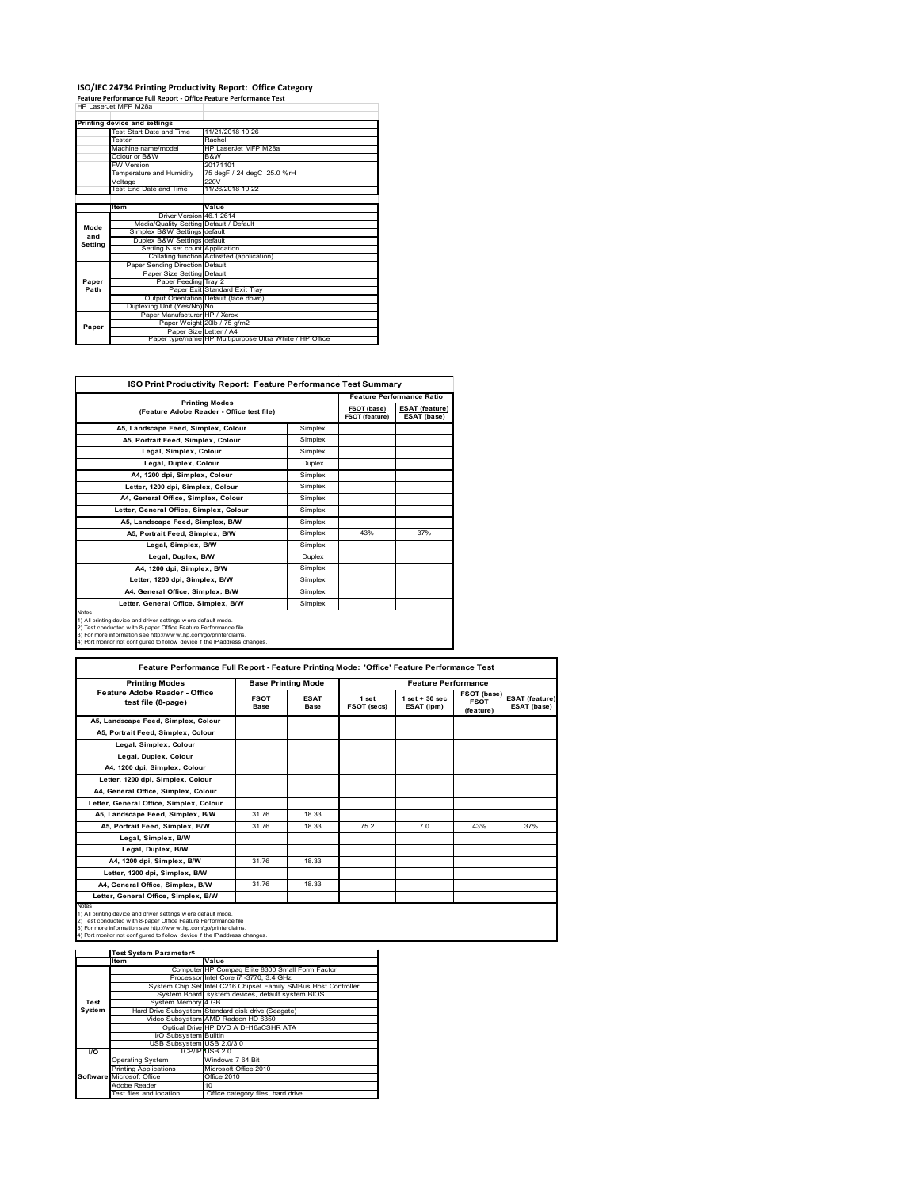## **ISO/IEC 24734 Printing Productivity Report: Office Category Feature Performance Full Report ‐ Office Feature Performance Test** HP LaserJet MFP M28a

|         | Printing device and settings            |                                                         |
|---------|-----------------------------------------|---------------------------------------------------------|
|         | Test Start Date and Time                | 11/21/2018 19:26                                        |
|         | Tester                                  | Rachel                                                  |
|         | Machine name/model                      | HP LaserJet MFP M28a                                    |
|         | Colour or B&W                           | B&W                                                     |
|         | FW Version                              | 20171101                                                |
|         | Temperature and Humidity                | 75 degF / 24 degC 25.0 %rH                              |
|         | Voltage                                 | 220V                                                    |
|         | Test End Date and Time                  | 11/26/2018 19:22                                        |
|         |                                         |                                                         |
|         | <b>Item</b>                             | Value                                                   |
|         | Driver Version 46.1.2614                |                                                         |
| Mode    | Media/Quality Setting Default / Default |                                                         |
| and     | Simplex B&W Settings default            |                                                         |
| Setting | Duplex B&W Settings default             |                                                         |
|         | Setting N set count Application         |                                                         |
|         |                                         | Collating function Activated (application)              |
|         | Paper Sending Direction Default         |                                                         |
|         | Paper Size Setting Default              |                                                         |
| Paper   | Paper Feeding Tray 2                    |                                                         |
| Path    |                                         | Paper Exit Standard Exit Tray                           |
|         |                                         | Output Orientation Default (face down)                  |
|         | Duplexing Unit (Yes/No) No              |                                                         |
|         | Paper Manufacturer HP / Xerox           |                                                         |
| Paper   |                                         | Paper Weight 20lb / 75 g/m2                             |
|         | Paper Size Letter / A4                  |                                                         |
|         |                                         | Paper type/name HP Multipurpose Ultra White / HP Office |

T.

| <b>ISO Print Productivity Report: Feature Performance Test Summary</b>                                                                                                                                                                                                                      |               |                                      |                                      |  |  |
|---------------------------------------------------------------------------------------------------------------------------------------------------------------------------------------------------------------------------------------------------------------------------------------------|---------------|--------------------------------------|--------------------------------------|--|--|
| <b>Printing Modes</b>                                                                                                                                                                                                                                                                       |               | <b>Feature Performance Ratio</b>     |                                      |  |  |
| (Feature Adobe Reader - Office test file)                                                                                                                                                                                                                                                   |               | FSOT (base)<br><b>FSOT (feature)</b> | <b>ESAT (feature)</b><br>ESAT (base) |  |  |
| A5, Landscape Feed, Simplex, Colour                                                                                                                                                                                                                                                         | Simplex       |                                      |                                      |  |  |
| A5. Portrait Feed. Simplex. Colour                                                                                                                                                                                                                                                          | Simplex       |                                      |                                      |  |  |
| Legal, Simplex, Colour                                                                                                                                                                                                                                                                      | Simplex       |                                      |                                      |  |  |
| Legal, Duplex, Colour                                                                                                                                                                                                                                                                       | <b>Duplex</b> |                                      |                                      |  |  |
| A4, 1200 dpi, Simplex, Colour                                                                                                                                                                                                                                                               | Simplex       |                                      |                                      |  |  |
| Letter, 1200 dpi. Simplex, Colour                                                                                                                                                                                                                                                           | Simplex       |                                      |                                      |  |  |
| A4, General Office, Simplex, Colour                                                                                                                                                                                                                                                         | Simplex       |                                      |                                      |  |  |
| Letter, General Office, Simplex, Colour                                                                                                                                                                                                                                                     | Simplex       |                                      |                                      |  |  |
| A5, Landscape Feed, Simplex, B/W                                                                                                                                                                                                                                                            | Simplex       |                                      |                                      |  |  |
| A5, Portrait Feed, Simplex, B/W                                                                                                                                                                                                                                                             | Simplex       | 43%                                  | 37%                                  |  |  |
| Legal, Simplex, B/W                                                                                                                                                                                                                                                                         | Simplex       |                                      |                                      |  |  |
| Legal, Duplex, B/W                                                                                                                                                                                                                                                                          | <b>Duplex</b> |                                      |                                      |  |  |
| A4, 1200 dpi, Simplex, B/W                                                                                                                                                                                                                                                                  | Simplex       |                                      |                                      |  |  |
| Letter, 1200 dpi, Simplex, B/W                                                                                                                                                                                                                                                              | Simplex       |                                      |                                      |  |  |
| A4. General Office. Simplex. B/W                                                                                                                                                                                                                                                            | Simplex       |                                      |                                      |  |  |
| Letter, General Office, Simplex, B/W                                                                                                                                                                                                                                                        | Simplex       |                                      |                                      |  |  |
| Notes<br>1) All printing device and driver settings w ere default mode.<br>2) Test conducted with 8-paper Office Feature Performance file.<br>3) For more information see http://www.hp.com/go/printerclaims.<br>4) Port monitor not configured to follow device if the IP address changes. |               |                                      |                                      |  |  |

| <b>Printing Modes</b>                               | <b>Base Printing Mode</b> |                     |                      | <b>Feature Performance</b>       |                                         |                                      |
|-----------------------------------------------------|---------------------------|---------------------|----------------------|----------------------------------|-----------------------------------------|--------------------------------------|
| Feature Adobe Reader - Office<br>test file (8-page) | <b>FSOT</b><br>Base       | <b>ESAT</b><br>Base | 1 set<br>FSOT (secs) | $1$ set $+30$ sec.<br>ESAT (ipm) | FSOT (base)<br><b>FSOT</b><br>(feature) | <b>ESAT (feature)</b><br>ESAT (base) |
| A5, Landscape Feed, Simplex, Colour                 |                           |                     |                      |                                  |                                         |                                      |
| A5, Portrait Feed, Simplex, Colour                  |                           |                     |                      |                                  |                                         |                                      |
| Legal, Simplex, Colour                              |                           |                     |                      |                                  |                                         |                                      |
| Legal, Duplex, Colour                               |                           |                     |                      |                                  |                                         |                                      |
| A4, 1200 dpi, Simplex, Colour                       |                           |                     |                      |                                  |                                         |                                      |
| Letter, 1200 dpi, Simplex, Colour                   |                           |                     |                      |                                  |                                         |                                      |
| A4, General Office, Simplex, Colour                 |                           |                     |                      |                                  |                                         |                                      |
| Letter, General Office, Simplex, Colour             |                           |                     |                      |                                  |                                         |                                      |
| A5, Landscape Feed, Simplex, B/W                    | 31.76                     | 18.33               |                      |                                  |                                         |                                      |
| A5. Portrait Feed. Simplex. B/W                     | 31.76                     | 18.33               | 75.2                 | 7.0                              | 43%                                     | 37%                                  |
| Legal, Simplex, B/W                                 |                           |                     |                      |                                  |                                         |                                      |
| Legal, Duplex, B/W                                  |                           |                     |                      |                                  |                                         |                                      |
| A4. 1200 dpi. Simplex. B/W                          | 31.76                     | 18.33               |                      |                                  |                                         |                                      |
| Letter, 1200 dpi, Simplex, B/W                      |                           |                     |                      |                                  |                                         |                                      |
| A4, General Office, Simplex, B/W                    | 31.76                     | 18.33               |                      |                                  |                                         |                                      |
| Letter, General Office, Simplex, B/W                |                           |                     |                      |                                  |                                         |                                      |

|        | <b>Test System Parameters</b> |                                                                 |
|--------|-------------------------------|-----------------------------------------------------------------|
|        | lte m                         | Value                                                           |
|        |                               | Computer HP Compaq Elite 8300 Small Form Factor                 |
|        |                               | Processor Intel Core i7 -3770, 3.4 GHz                          |
|        |                               | System Chip Set Intel C216 Chipset Family SMBus Host Controller |
|        |                               | System Board system devices, default system BIOS                |
| Test   | System Memory 4 GB            |                                                                 |
| System |                               | Hard Drive Subsystem Standard disk drive (Seagate)              |
|        |                               | Video Subsystem AMD Radeon HD 6350                              |
|        |                               | Optical Drive HP DVD A DH16aCSHR ATA                            |
|        | I/O Subsystem Builtin         |                                                                 |
|        | USB Subsystem USB 2.0/3.0     |                                                                 |
| I/O    |                               | TCP/IPPUSB 2.0                                                  |
|        | <b>Operating System</b>       | Windows 7 64 Bit                                                |
|        | <b>Printing Applications</b>  | Microsoft Office 2010                                           |
|        | Software Microsoft Office     | Office 2010                                                     |
|        | Adobe Reader                  | 10                                                              |
|        | Test files and location       | Office category files, hard drive                               |
|        |                               |                                                                 |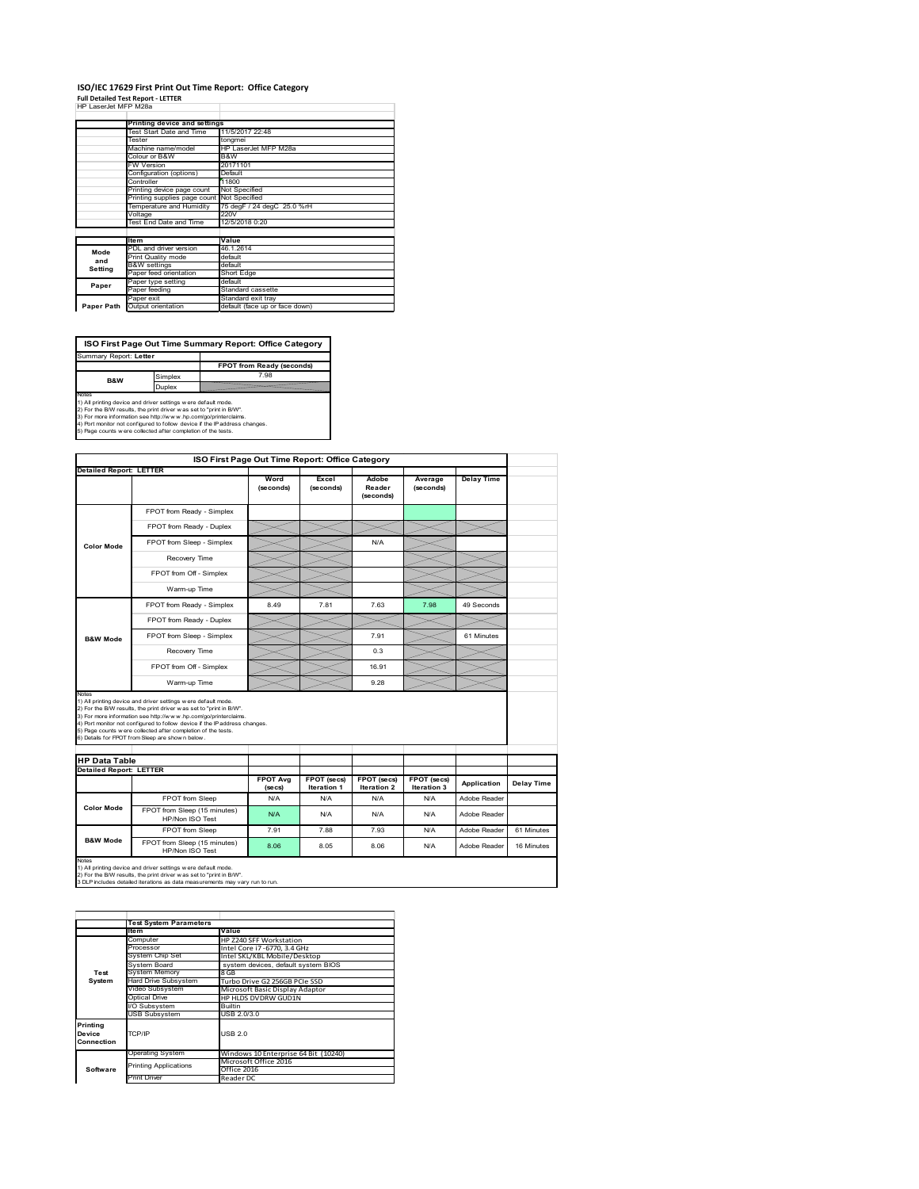#### **ISO/IEC 17629 First Print Out Time Report: Office Category Full Detailed Test Report ‐ LETTER** HP LaserJet MFP M28a

|  | HP LaserJet MFP M28a |  |  |
|--|----------------------|--|--|

|            | Printing device and settings               |                                |  |  |
|------------|--------------------------------------------|--------------------------------|--|--|
|            | Test Start Date and Time                   | 11/5/2017 22:48                |  |  |
|            | Tester                                     | tongmei                        |  |  |
|            | Machine name/model                         | HP LaserJet MFP M28a           |  |  |
|            | Colour or B&W                              | B&W                            |  |  |
|            | FW Version                                 | 20171101                       |  |  |
|            | Configuration (options)                    | Default                        |  |  |
|            | Controller                                 | 11800                          |  |  |
|            | Printing device page count                 | Not Specified                  |  |  |
|            | Printing supplies page count Not Specified |                                |  |  |
|            | Temperature and Humidity                   | 75 degF / 24 degC 25.0 %rH     |  |  |
|            | Voltage                                    | 220V                           |  |  |
|            | Test End Date and Time                     | 12/5/2018 0:20                 |  |  |
|            |                                            |                                |  |  |
|            | <b>Item</b>                                | Value                          |  |  |
| Mode       | PDL and driver version                     | 46.1.2614                      |  |  |
| and        | Print Quality mode                         | default                        |  |  |
|            | <b>B&amp;W</b> settings                    | default                        |  |  |
| Setting    | Paper feed orientation                     | Short Edge                     |  |  |
| Paper      | Paper type setting                         | default                        |  |  |
|            | Paper feeding                              | Standard cassette              |  |  |
|            | Paper exit                                 | Standard exit tray             |  |  |
| Paper Path | Output orientation                         | default (face up or face down) |  |  |

**FPOT from Ready (seconds)**<br>Simplex 7.98 **ISO First Page Out Time Summary Report: Office Category** rt: **Letter** 

**B&W**

**Duplex**<br>Notes<br>1) All printing device and driver settings were default mode.<br>2) For the BM results, the print driver was set to "print in BM".<br>4) For more information see http://www.hp.com/golprinterclaims.<br>4) Port monitor

|                                |                                                                                                                                                                                                                                                                                                                                                                                                             | ISO First Page Out Time Report: Office Category |                           |                              |                      |                   |            |
|--------------------------------|-------------------------------------------------------------------------------------------------------------------------------------------------------------------------------------------------------------------------------------------------------------------------------------------------------------------------------------------------------------------------------------------------------------|-------------------------------------------------|---------------------------|------------------------------|----------------------|-------------------|------------|
| <b>Detailed Report: LETTER</b> |                                                                                                                                                                                                                                                                                                                                                                                                             | Word<br>(seconds)                               | Excel<br>(seconds)        | Adobe<br>Reader<br>(seconds) | Average<br>(seconds) | <b>Delay Time</b> |            |
|                                | FPOT from Ready - Simplex                                                                                                                                                                                                                                                                                                                                                                                   |                                                 |                           |                              |                      |                   |            |
|                                | FPOT from Ready - Duplex                                                                                                                                                                                                                                                                                                                                                                                    |                                                 |                           |                              |                      |                   |            |
| <b>Color Mode</b>              | FPOT from Sleep - Simplex                                                                                                                                                                                                                                                                                                                                                                                   |                                                 |                           | N/A                          |                      |                   |            |
|                                | Recovery Time                                                                                                                                                                                                                                                                                                                                                                                               |                                                 |                           |                              |                      |                   |            |
|                                | FPOT from Off - Simplex                                                                                                                                                                                                                                                                                                                                                                                     |                                                 |                           |                              |                      |                   |            |
|                                | Warm-up Time                                                                                                                                                                                                                                                                                                                                                                                                |                                                 |                           |                              |                      |                   |            |
|                                | FPOT from Ready - Simplex                                                                                                                                                                                                                                                                                                                                                                                   | 8.49                                            | 7.81                      | 7.63                         | 7.98                 | 49 Seconds        |            |
|                                | FPOT from Ready - Duplex                                                                                                                                                                                                                                                                                                                                                                                    |                                                 |                           |                              |                      |                   |            |
| <b>B&amp;W Mode</b>            | FPOT from Sleep - Simplex                                                                                                                                                                                                                                                                                                                                                                                   |                                                 |                           | 7.91                         |                      | 61 Minutes        |            |
|                                | Recovery Time                                                                                                                                                                                                                                                                                                                                                                                               |                                                 |                           | 0.3                          |                      |                   |            |
|                                | FPOT from Off - Simplex                                                                                                                                                                                                                                                                                                                                                                                     |                                                 |                           | 16.91                        |                      |                   |            |
|                                |                                                                                                                                                                                                                                                                                                                                                                                                             |                                                 |                           |                              |                      |                   |            |
| Notes                          | Warm-up Time                                                                                                                                                                                                                                                                                                                                                                                                |                                                 |                           | 9.28                         |                      |                   |            |
| <b>HP Data Table</b>           | 1) All printing device and driver settings w ere default mode.<br>2) For the B/W results, the print driver was set to "print in B/W".<br>3) For more information see http://www.hp.com/go/printerclaims.<br>4) Port monitor not configured to follow device if the IP address changes.<br>5) Page counts w ere collected after completion of the tests.<br>6) Details for FPOT from Sleep are show n below. |                                                 |                           |                              |                      |                   |            |
| <b>Detailed Report: LETTER</b> |                                                                                                                                                                                                                                                                                                                                                                                                             | <b>FPOT Avg</b>                                 | FPOT (secs)               | FPOT (secs)                  | FPOT (secs)          | Application       | Delay Time |
|                                | FPOT from Sleep                                                                                                                                                                                                                                                                                                                                                                                             | (se cs)<br>N/A                                  | <b>Iteration 1</b><br>N/A | <b>Iteration 2</b><br>N/A    | Iteration 3<br>N/A   | Adobe Reader      |            |
| <b>Color Mode</b>              | FPOT from Sleep (15 minutes)<br>HP/Non ISO Test                                                                                                                                                                                                                                                                                                                                                             | N/A                                             | N/A                       | N/A                          | N/A                  | Adobe Reader      |            |
| <b>B&amp;W Mode</b>            | FPOT from Sleep                                                                                                                                                                                                                                                                                                                                                                                             | 7.91                                            | 7.88                      | 7.93                         | N/A                  | Adobe Reader      | 61 Minutes |

1) All printing device and driver settings w ere default mode.<br>2) For the B/W results, the print driver w as set to "print in B/W".<br>3 DLP includes detailed iterations as data measurements may vary run to run.

|                                  | <b>Test System Parameters</b> |                                      |
|----------------------------------|-------------------------------|--------------------------------------|
|                                  | <b>Item</b>                   | Value                                |
|                                  | Computer                      | HP Z240 SFF Workstation              |
|                                  | Processor                     | Intel Core i7 -6770, 3.4 GHz         |
|                                  | System Chip Set               | Intel SKL/KBL Mobile/Desktop         |
|                                  | System Board                  | system devices, default system BIOS  |
| Test                             | <b>System Memory</b>          | 8 GB                                 |
| System                           | <b>Hard Drive Subsystem</b>   | Turbo Drive G2 256GB PCIe SSD        |
|                                  | Video Subsystem               | Microsoft Basic Display Adaptor      |
|                                  | Optical Drive                 | HP HLDS DVDRW GUD1N                  |
|                                  | I/O Subsystem                 | <b>Builtin</b>                       |
|                                  | <b>USB Subsystem</b>          | USB 2.0/3.0                          |
| Printing<br>Device<br>Connection | TCP/IP                        | USB <sub>20</sub>                    |
|                                  | Operating System              | Windows 10 Enterprise 64 Bit (10240) |
|                                  | <b>Printing Applications</b>  | Microsoft Office 2016                |
| Software                         |                               | Office 2016                          |
|                                  | <b>Print Driver</b>           | Reader DC                            |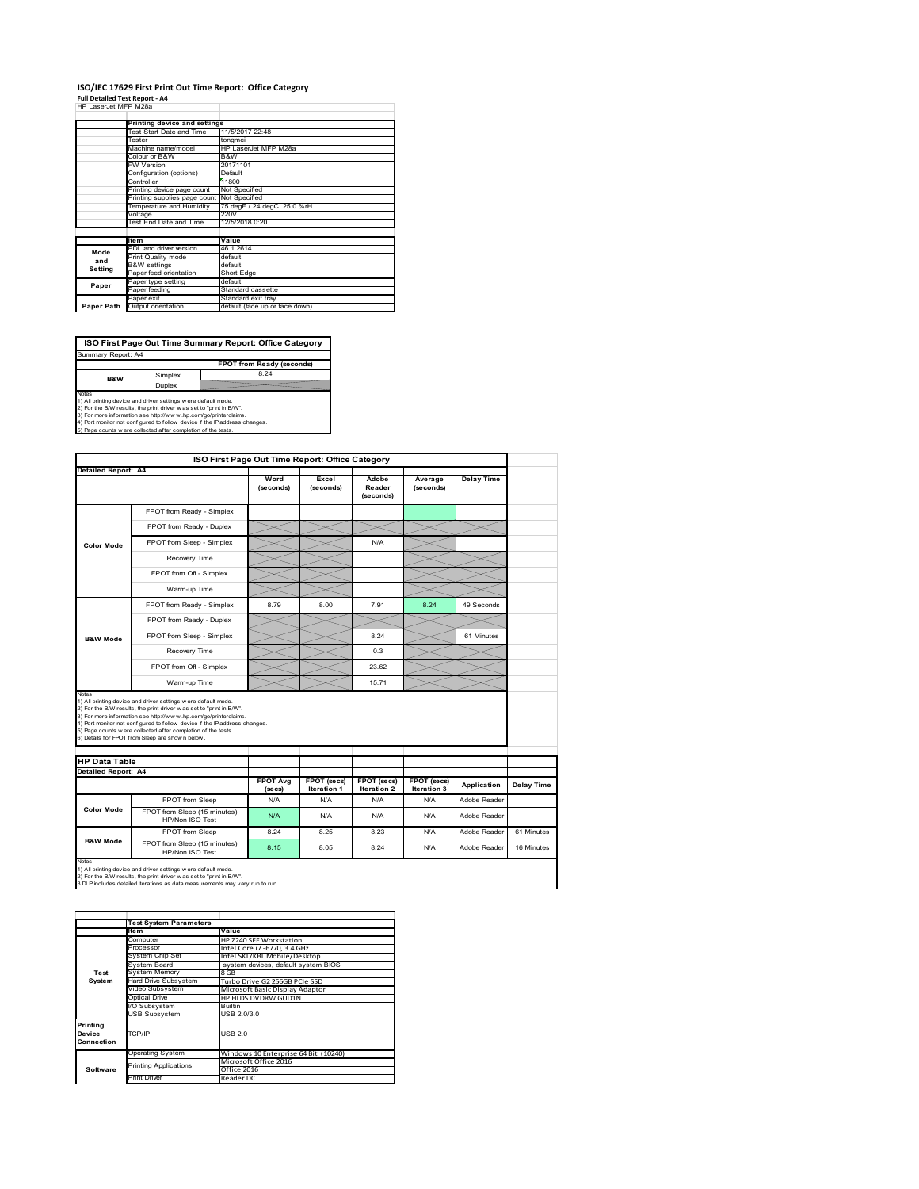#### **ISO/IEC 17629 First Print Out Time Report: Office Category Full Detailed Test Report ‐ A4** HP LaserJet MFP M28a

|  | . <u>.</u>           |  |
|--|----------------------|--|
|  | HP LaserJet MFP M28a |  |

|            | Printing device and settings               |                                |
|------------|--------------------------------------------|--------------------------------|
|            | Test Start Date and Time                   | 11/5/2017 22:48                |
|            | Tester                                     | tongmei                        |
|            | Machine name/model                         | HP LaserJet MFP M28a           |
|            | Colour or B&W                              | B&W                            |
|            | <b>FW Version</b>                          | 20171101                       |
|            | Configuration (options)                    | Default                        |
|            | Controller                                 | 11800                          |
|            | Printing device page count                 | Not Specified                  |
|            | Printing supplies page count Not Specified |                                |
|            | Temperature and Humidity                   | 75 degF / 24 degC 25.0 %rH     |
|            | Voltage                                    | 220V                           |
|            | <b>Test End Date and Time</b>              | 12/5/2018 0:20                 |
|            |                                            |                                |
|            | <b>Item</b>                                | Value                          |
| Mode       | PDL and driver version                     | 46.1.2614                      |
| and        | Print Quality mode                         | default                        |
| Setting    | <b>B&amp;W</b> settings                    | default                        |
|            | Paper feed orientation                     | Short Edge                     |
| Paper      | Paper type setting                         | default                        |
|            | Paper feeding                              | Standard cassette              |
|            | Paper exit                                 | Standard exit tray             |
| Paper Path | Output orientation                         | default (face up or face down) |

**ISO First Page Out Time Summary Report: Office Category**

**FPOT from Ready (seconds)** Simplex 8.24 Duplex Notes<br>1) All printing device and driver settings were default mode.<br>2) For the BAV results, the print driver was set to "print in BAV".<br>3) For more information see http://www.hp.com/golprinterclaims.<br>4) Port monitor not co Summary Report: A4 **B&W**

| <b>Detailed Report: A4</b>                                                                                                                                                                                                                                                                                                                                                                                                                |                                                 |                   |                    | ISO First Page Out Time Report: Office Category |                            |                   |            |
|-------------------------------------------------------------------------------------------------------------------------------------------------------------------------------------------------------------------------------------------------------------------------------------------------------------------------------------------------------------------------------------------------------------------------------------------|-------------------------------------------------|-------------------|--------------------|-------------------------------------------------|----------------------------|-------------------|------------|
|                                                                                                                                                                                                                                                                                                                                                                                                                                           |                                                 |                   |                    |                                                 |                            |                   |            |
|                                                                                                                                                                                                                                                                                                                                                                                                                                           |                                                 | Word<br>(seconds) | Excel<br>(seconds) | Adobe<br>Reader<br>(seconds)                    | Average<br>(seconds)       | <b>Delay Time</b> |            |
|                                                                                                                                                                                                                                                                                                                                                                                                                                           | FPOT from Ready - Simplex                       |                   |                    |                                                 |                            |                   |            |
|                                                                                                                                                                                                                                                                                                                                                                                                                                           | FPOT from Ready - Duplex                        |                   |                    |                                                 |                            |                   |            |
| <b>Color Mode</b>                                                                                                                                                                                                                                                                                                                                                                                                                         | FPOT from Sleep - Simplex                       |                   |                    | N/A                                             |                            |                   |            |
|                                                                                                                                                                                                                                                                                                                                                                                                                                           | Recovery Time                                   |                   |                    |                                                 |                            |                   |            |
|                                                                                                                                                                                                                                                                                                                                                                                                                                           | FPOT from Off - Simplex                         |                   |                    |                                                 |                            |                   |            |
|                                                                                                                                                                                                                                                                                                                                                                                                                                           | Warm-up Time                                    |                   |                    |                                                 |                            |                   |            |
|                                                                                                                                                                                                                                                                                                                                                                                                                                           | FPOT from Ready - Simplex                       | 8.79              | 8.00               | 7.91                                            | 8.24                       | 49 Seconds        |            |
|                                                                                                                                                                                                                                                                                                                                                                                                                                           | FPOT from Ready - Duplex                        |                   |                    |                                                 |                            |                   |            |
| <b>B&amp;W Mode</b>                                                                                                                                                                                                                                                                                                                                                                                                                       | FPOT from Sleep - Simplex                       |                   |                    | 8.24                                            |                            | 61 Minutes        |            |
|                                                                                                                                                                                                                                                                                                                                                                                                                                           | Recovery Time                                   |                   |                    | 0.3                                             |                            |                   |            |
|                                                                                                                                                                                                                                                                                                                                                                                                                                           | FPOT from Off - Simplex                         |                   |                    | 23.62                                           |                            |                   |            |
|                                                                                                                                                                                                                                                                                                                                                                                                                                           | Warm-up Time                                    |                   |                    | 15.71                                           |                            |                   |            |
| 1) All printing device and driver settings w ere default mode.<br>2) For the B/W results, the print driver was set to "print in B/W".<br>3) For more information see http://www.hp.com/go/printerclaims.<br>4) Port monitor not configured to follow device if the IP address changes.<br>5) Page counts w ere collected after completion of the tests.<br>6) Details for FPOT from Sleep are show n below.<br><b>Detailed Report: A4</b> |                                                 |                   |                    |                                                 |                            |                   |            |
| <b>HP Data Table</b>                                                                                                                                                                                                                                                                                                                                                                                                                      |                                                 | <b>FPOT Avg</b>   | FPOT (secs)        | FPOT (secs)                                     |                            |                   |            |
|                                                                                                                                                                                                                                                                                                                                                                                                                                           |                                                 | (se cs)           | <b>Iteration 1</b> | <b>Iteration 2</b>                              | FPOT (secs)<br>Iteration 3 | Application       | Delay Time |
|                                                                                                                                                                                                                                                                                                                                                                                                                                           | FPOT from Sleep                                 | N/A               | N/A                | N/A                                             | N/A                        | Adobe Reader      |            |
| <b>Color Mode</b>                                                                                                                                                                                                                                                                                                                                                                                                                         | FPOT from Sleep (15 minutes)<br>HP/Non ISO Test | N/A               | N/A                | N/A                                             | N/A                        | Adobe Reader      |            |
| <b>B&amp;W Mode</b>                                                                                                                                                                                                                                                                                                                                                                                                                       | FPOT from Sleep                                 | 8.24              | 8 25               | 8 2 3                                           | N/A                        | Adobe Reader      | 61 Minutes |

|            | <b>Test System Parameters</b>        |                                      |
|------------|--------------------------------------|--------------------------------------|
|            | <b>Item</b>                          | Value                                |
|            | Computer                             | HP Z240 SFF Workstation              |
|            | Processor                            | Intel Core i7 -6770, 3.4 GHz         |
|            | System Chip Set                      | Intel SKL/KBL Mobile/Desktop         |
|            | System Board                         | system devices, default system BIOS  |
| Test       | <b>System Memory</b>                 | 8 GB                                 |
| System     | <b>Hard Drive Subsystem</b>          | Turbo Drive G2 256GB PCIe SSD        |
|            | Video Subsystem                      | Microsoft Basic Display Adaptor      |
|            | Optical Drive<br>HP HLDS DVDRW GUD1N |                                      |
|            | I/O Subsystem                        | <b>Builtin</b>                       |
|            | <b>USB Subsystem</b>                 | USB 2.0/3.0                          |
| Printing   |                                      |                                      |
| Device     | TCP/IP                               | USB 2.0                              |
| Connection |                                      |                                      |
|            | Operating System                     | Windows 10 Enterprise 64 Bit (10240) |
|            | <b>Printing Applications</b>         | Microsoft Office 2016                |
| Software   |                                      | Office 2016                          |
|            | <b>Print Driver</b>                  | Reader DC                            |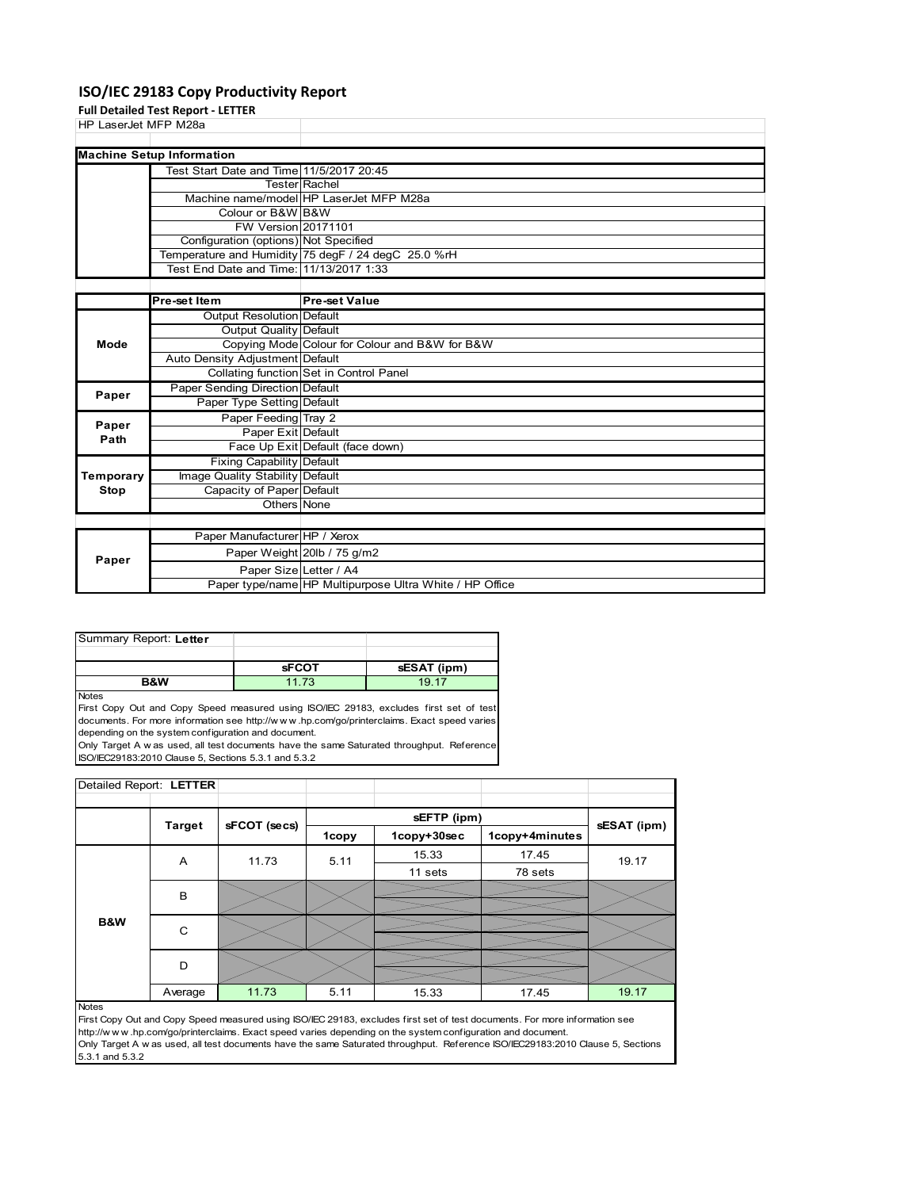## **ISO/IEC 29183 Copy Productivity Report**

**Full Detailed Test Report ‐ LETTER**

| HP LaserJet MFP M28a |                                          |                                                     |
|----------------------|------------------------------------------|-----------------------------------------------------|
|                      |                                          |                                                     |
|                      | <b>Machine Setup Information</b>         |                                                     |
|                      | Test Start Date and Time 11/5/2017 20:45 |                                                     |
|                      |                                          | <b>Tester Rachel</b>                                |
|                      |                                          | Machine name/model HP LaserJet MFP M28a             |
|                      | Colour or B&W B&W                        |                                                     |
|                      | FW Version 20171101                      |                                                     |
|                      | Configuration (options) Not Specified    |                                                     |
|                      |                                          | Temperature and Humidity 75 degF / 24 degC 25.0 %rH |
|                      | Test End Date and Time: 11/13/2017 1:33  |                                                     |
|                      |                                          |                                                     |
|                      | <b>Pre-set Item</b>                      | <b>Pre-set Value</b>                                |

|           | <b>Pre-set Item</b>              | <b>Pre-set Value</b>                                    |
|-----------|----------------------------------|---------------------------------------------------------|
|           | Output Resolution Default        |                                                         |
|           | Output Quality Default           |                                                         |
| Mode      |                                  | Copying Mode Colour for Colour and B&W for B&W          |
|           | Auto Density Adjustment Default  |                                                         |
|           |                                  | Collating function Set in Control Panel                 |
| Paper     | Paper Sending Direction Default  |                                                         |
|           | Paper Type Setting Default       |                                                         |
| Paper     | Paper Feeding Tray 2             |                                                         |
| Path      | Paper Exit Default               |                                                         |
|           |                                  | Face Up Exit Default (face down)                        |
|           | <b>Fixing Capability Default</b> |                                                         |
| Temporary | Image Quality Stability Default  |                                                         |
| Stop      | Capacity of Paper Default        |                                                         |
|           | Others None                      |                                                         |
|           |                                  |                                                         |
|           | Paper Manufacturer HP / Xerox    |                                                         |
| Paper     |                                  | Paper Weight 20lb / 75 g/m2                             |
|           | Paper Size Letter / A4           |                                                         |
|           |                                  | Paper type/name HP Multipurpose Ultra White / HP Office |

| Summary Report: Letter |              |             |
|------------------------|--------------|-------------|
|                        |              |             |
|                        | <b>SFCOT</b> | sESAT (ipm) |
| <b>R&amp;W</b>         | 11 73        | 19 17       |

Notes

First Copy Out and Copy Speed measured using ISO/IEC 29183, excludes first set of test documents. For more information see http://w w w .hp.com/go/printerclaims. Exact speed varies depending on the system configuration and document. Only Target A w as used, all test documents have the same Saturated throughput. Reference

ISO/IEC29183:2010 Clause 5, Sections 5.3.1 and 5.3.2

| Detailed Report: LETTER |               |              |              |             |                |             |
|-------------------------|---------------|--------------|--------------|-------------|----------------|-------------|
|                         |               |              |              |             |                |             |
|                         | <b>Target</b> | sFCOT (secs) |              | sEFTP (ipm) |                | sESAT (ipm) |
|                         |               |              | <b>1copy</b> | 1copy+30sec | 1copy+4minutes |             |
|                         | A             | 11.73        | 5.11         | 15.33       | 17.45          | 19.17       |
|                         |               |              |              | 11 sets     | 78 sets        |             |
|                         | B             |              |              |             |                |             |
|                         |               |              |              |             |                |             |
| <b>B&amp;W</b>          | C             |              |              |             |                |             |
|                         |               |              |              |             |                |             |
|                         | D             |              |              |             |                |             |
|                         |               |              |              |             |                |             |
|                         | Average       | 11.73        | 5.11         | 15.33       | 17.45          | 19.17       |

Notes

First Copy Out and Copy Speed measured using ISO/IEC 29183, excludes first set of test documents. For more information see http://w w w .hp.com/go/printerclaims. Exact speed varies depending on the system configuration and document. Only Target A w as used, all test documents have the same Saturated throughput. Reference ISO/IEC29183:2010 Clause 5, Sections 5.3.1 and 5.3.2